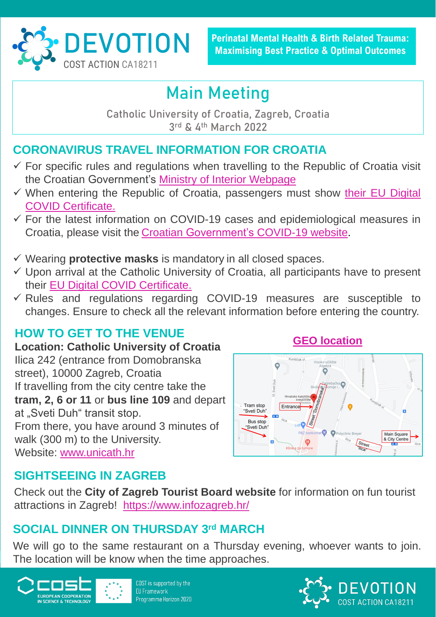#### **CORONAVIRUS TRAVEL INFORMATION FOR CROATIA**

- $\checkmark$  For specific rules and regulations when travelling to the Republic of Croatia visit the Croatian Government's Ministry of Interior [Webpage](https://mup.gov.hr/uzg-covid/english/286212)
- ✓ When entering the Republic of Croatia, passengers must show their EU Digital COVID [Certificate.](https://eudigitalnacovidpotvrda.hr/hr)
- $\checkmark$  For the latest information on COVID-19 cases and epidemiological measures in Croatia, please visit the Croatian [Government's](https://www.koronavirus.hr/en) COVID-19 website.
- ✓ Wearing **protective masks** is mandatory in all closed spaces.
- ✓ Upon arrival at the Catholic University of Croatia, all participants have to present their EU Digital COVID [Certificate.](https://eudigitalnacovidpotvrda.hr/hr)
- ✓ Rules and regulations regarding COVID-19 measures are susceptible to changes. Ensure to check all the relevant information before entering the country.

# **Main Meeting**

**Catholic University of Croatia, Zagreb, Croatia 3 rd & 4 th March 2022**

We will go to the same restaurant on a Thursday evening, whoever wants to join. The location will be know when the time approaches.



COST is supported by the **EU Framework** Programme Horizon 2020





**PEVOTION Perinatal Mental Health & Birth Related Trauma:**<br>Maximising Best Practice & Optimal Outcomes

#### **HOW TO GET TO THE VENUE**

**Location: Catholic University of Croatia**  Ilica 242 (entrance from Domobranska street), 10000 Zagreb, Croatia If travelling from the city centre take the **tram, 2, 6 or 11** or **bus line 109** and depart at "Sveti Duh" transit stop. From there, you have around 3 minutes of walk (300 m) to the University. Website: [www.unicath.hr](http://www.unicath.hr/)

## **SIGHTSEEING IN ZAGREB**

Check out the **City of Zagreb Tourist Board website** for information on fun tourist attractions in Zagreb! <https://www.infozagreb.hr/>

## **SOCIAL DINNER ON THURSDAY 3rd MARCH**

#### **[GEO location](https://goo.gl/maps/WuSNXM7NzC5nwQfVA)**